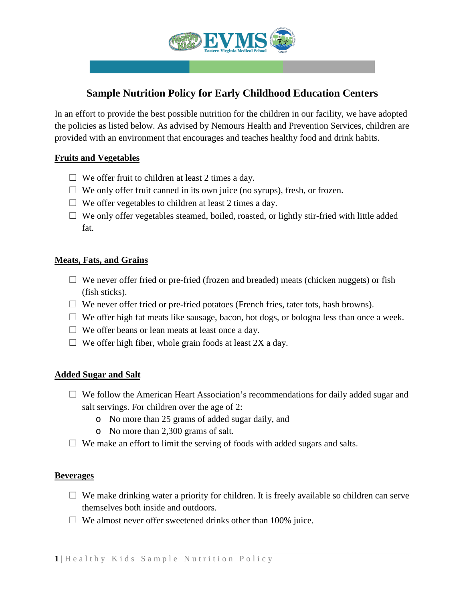

# **Sample Nutrition Policy for Early Childhood Education Centers**

In an effort to provide the best possible nutrition for the children in our facility, we have adopted the policies as listed below. As advised by Nemours Health and Prevention Services, children are provided with an environment that encourages and teaches healthy food and drink habits.

# **Fruits and Vegetables**

- $\Box$  We offer fruit to children at least 2 times a day.
- $\Box$  We only offer fruit canned in its own juice (no syrups), fresh, or frozen.
- $\Box$  We offer vegetables to children at least 2 times a day.
- $\Box$  We only offer vegetables steamed, boiled, roasted, or lightly stir-fried with little added fat.

# **Meats, Fats, and Grains**

- $\square$  We never offer fried or pre-fried (frozen and breaded) meats (chicken nuggets) or fish (fish sticks).
- $\Box$  We never offer fried or pre-fried potatoes (French fries, tater tots, hash browns).
- $\Box$  We offer high fat meats like sausage, bacon, hot dogs, or bologna less than once a week.
- $\Box$  We offer beans or lean meats at least once a day.
- $\Box$  We offer high fiber, whole grain foods at least 2X a day.

# **Added Sugar and Salt**

- $\Box$  We follow the American Heart Association's recommendations for daily added sugar and salt servings. For children over the age of 2:
	- o No more than 25 grams of added sugar daily, and
	- o No more than 2,300 grams of salt.
- $\Box$  We make an effort to limit the serving of foods with added sugars and salts.

# **Beverages**

- $\Box$  We make drinking water a priority for children. It is freely available so children can serve themselves both inside and outdoors.
- $\square$  We almost never offer sweetened drinks other than 100% juice.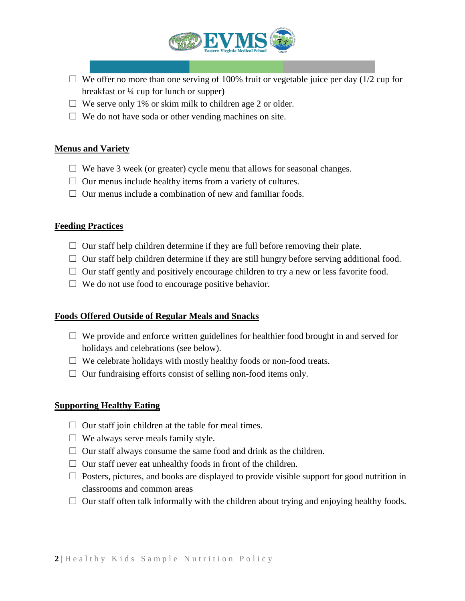

- $\Box$  We offer no more than one serving of 100% fruit or vegetable juice per day (1/2 cup for breakfast or ¼ cup for lunch or supper)
- $\Box$  We serve only 1% or skim milk to children age 2 or older.
- $\Box$  We do not have soda or other vending machines on site.

### **Menus and Variety**

- $\Box$  We have 3 week (or greater) cycle menu that allows for seasonal changes.
- $\Box$  Our menus include healthy items from a variety of cultures.
- $\Box$  Our menus include a combination of new and familiar foods.

### **Feeding Practices**

- $\Box$  Our staff help children determine if they are full before removing their plate.
- $\Box$  Our staff help children determine if they are still hungry before serving additional food.
- $\Box$  Our staff gently and positively encourage children to try a new or less favorite food.
- $\Box$  We do not use food to encourage positive behavior.

#### **Foods Offered Outside of Regular Meals and Snacks**

- $\Box$  We provide and enforce written guidelines for healthier food brought in and served for holidays and celebrations (see below).
- $\Box$  We celebrate holidays with mostly healthy foods or non-food treats.
- $\Box$  Our fundraising efforts consist of selling non-food items only.

#### **Supporting Healthy Eating**

- $\Box$  Our staff join children at the table for meal times.
- $\Box$  We always serve meals family style.
- $\Box$  Our staff always consume the same food and drink as the children.
- $\Box$  Our staff never eat unhealthy foods in front of the children.
- $\Box$  Posters, pictures, and books are displayed to provide visible support for good nutrition in classrooms and common areas
- $\Box$  Our staff often talk informally with the children about trying and enjoying healthy foods.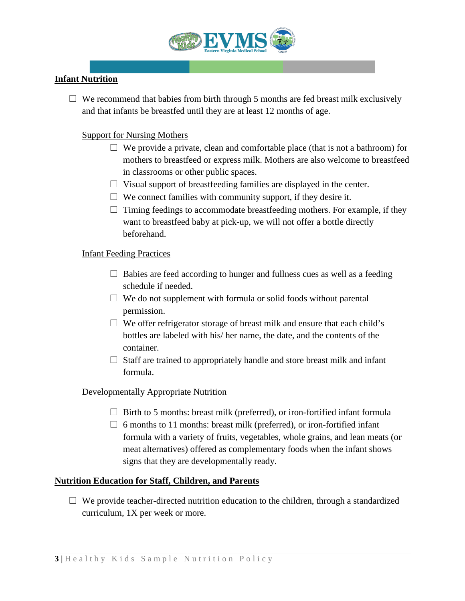

# **Infant Nutrition**

 $\Box$  We recommend that babies from birth through 5 months are fed breast milk exclusively and that infants be breastfed until they are at least 12 months of age.

# Support for Nursing Mothers

- $\Box$  We provide a private, clean and comfortable place (that is not a bathroom) for mothers to breastfeed or express milk. Mothers are also welcome to breastfeed in classrooms or other public spaces.
- $\Box$  Visual support of breastfeeding families are displayed in the center.
- $\Box$  We connect families with community support, if they desire it.
- $\Box$  Timing feedings to accommodate breastfeeding mothers. For example, if they want to breastfeed baby at pick-up, we will not offer a bottle directly beforehand.

# Infant Feeding Practices

- $\Box$  Babies are feed according to hunger and fullness cues as well as a feeding schedule if needed.
- $\Box$  We do not supplement with formula or solid foods without parental permission.
- $\Box$  We offer refrigerator storage of breast milk and ensure that each child's bottles are labeled with his/ her name, the date, and the contents of the container.
- $\Box$  Staff are trained to appropriately handle and store breast milk and infant formula.

# Developmentally Appropriate Nutrition

- $\Box$  Birth to 5 months: breast milk (preferred), or iron-fortified infant formula
- $\Box$  6 months to 11 months: breast milk (preferred), or iron-fortified infant formula with a variety of fruits, vegetables, whole grains, and lean meats (or meat alternatives) offered as complementary foods when the infant shows signs that they are developmentally ready.

# **Nutrition Education for Staff, Children, and Parents**

 $\Box$  We provide teacher-directed nutrition education to the children, through a standardized curriculum, 1X per week or more.